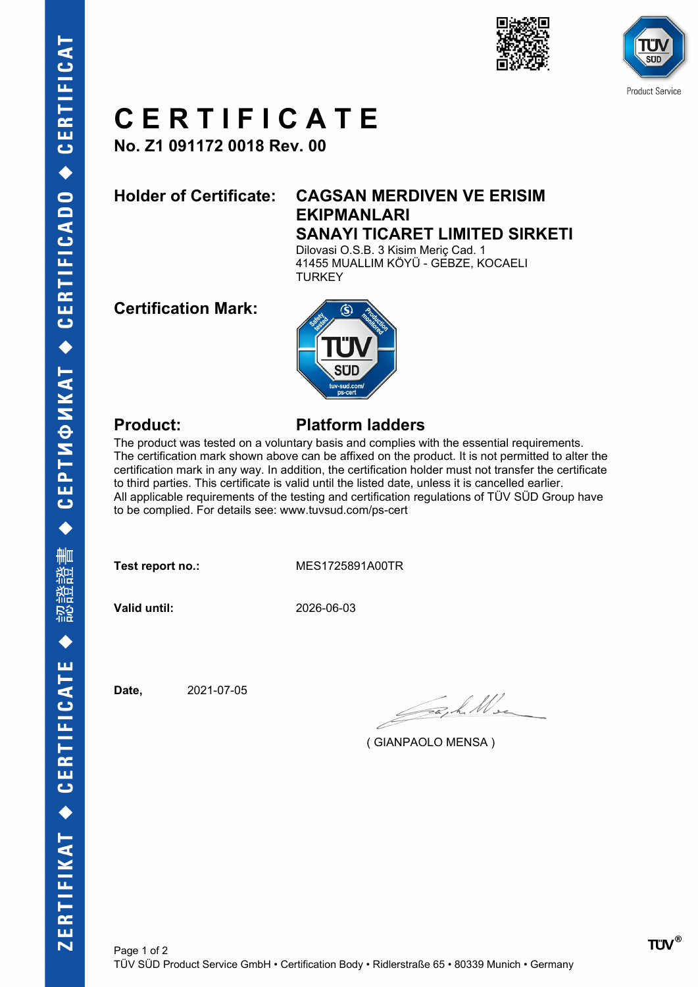



## **C E R T I F I C A T E**

**No. Z1 091172 0018 Rev. 00**

#### **Holder of Certificate: CAGSAN MERDIVEN VE ERISIM EKIPMANLARI SANAYI TICARET LIMITED SIRKETI**

Dilovasi O.S.B. 3 Kisim Meriç Cad. 1 41455 MUALLIM KÖYÜ - GEBZE, KOCAELI **TURKEY** 

### **Certification Mark:**



#### **Product: Platform ladders**

The product was tested on a voluntary basis and complies with the essential requirements. The certification mark shown above can be affixed on the product. It is not permitted to alter the certification mark in any way. In addition, the certification holder must not transfer the certificate to third parties. This certificate is valid until the listed date, unless it is cancelled earlier. All applicable requirements of the testing and certification regulations of TÜV SÜD Group have to be complied. For details see: www.tuvsud.com/ps-cert

**Test report no.:** MES1725891A00TR

**Valid until:** 2026-06-03

**Date,** 2021-07-05

Jack Me

( GIANPAOLO MENSA )